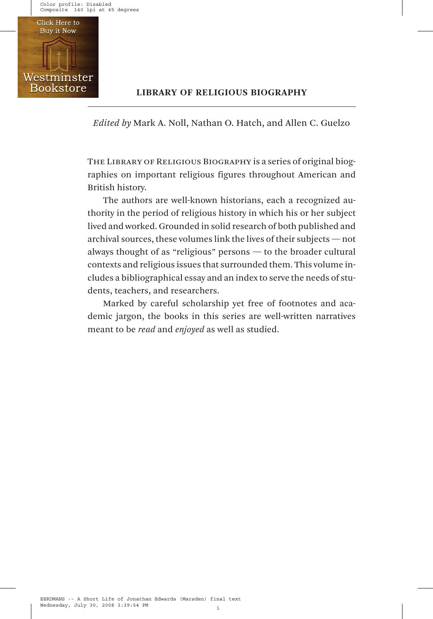

### **LIBRARY OF RELIGIOUS BIOGRAPHY**

*Edited by* Mark A. Noll, Nathan O. Hatch, and Allen C. Guelzo

THE LIBRARY OF RELIGIOUS BIOGRAPHY is a series of original biographies on important religious figures throughout American and British history.

The authors are well-known historians, each a recognized authority in the period of religious history in which his or her subject lived and worked. Grounded in solid research of both published and archival sources, these volumes link the lives of their subjects — not always thought of as "religious" persons — to the broader cultural contexts and religious issues that surrounded them. This volume includes a bibliographical essay and an index to serve the needs of students, teachers, and researchers.

Marked by careful scholarship yet free of footnotes and academic jargon, the books in this series are well-written narratives meant to be *read* and *enjoyed* as well as studied.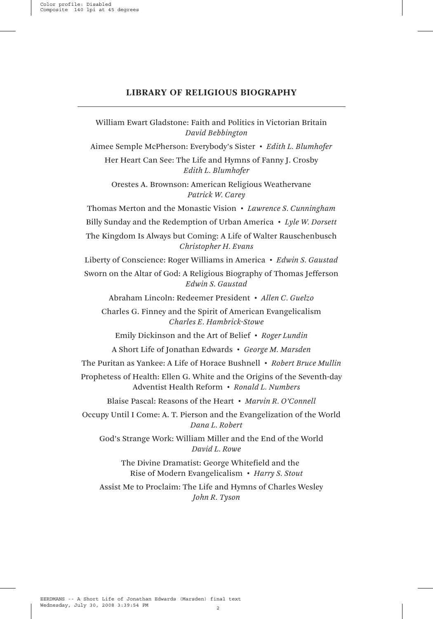### **LIBRARY OF RELIGIOUS BIOGRAPHY**

William Ewart Gladstone: Faith and Politics in Victorian Britain *David Bebbington* Aimee Semple McPherson: Everybody's Sister • *Edith L. Blumhofer* Her Heart Can See: The Life and Hymns of Fanny J. Crosby *Edith L. Blumhofer* Orestes A. Brownson: American Religious Weathervane *Patrick W. Carey* Thomas Merton and the Monastic Vision • *Lawrence S. Cunningham* Billy Sunday and the Redemption of Urban America • *Lyle W. Dorsett* The Kingdom Is Always but Coming: A Life of Walter Rauschenbusch *Christopher H. Evans* Liberty of Conscience: Roger Williams in America • *Edwin S. Gaustad* Sworn on the Altar of God: A Religious Biography of Thomas Jefferson *Edwin S. Gaustad* Abraham Lincoln: Redeemer President • *Allen C. Guelzo* Charles G. Finney and the Spirit of American Evangelicalism *Charles E. Hambrick-Stowe* Emily Dickinson and the Art of Belief • *Roger Lundin* A Short Life of Jonathan Edwards • *George M. Marsden* The Puritan as Yankee: A Life of Horace Bushnell • *Robert Bruce Mullin* Prophetess of Health: Ellen G. White and the Origins of the Seventh-day Adventist Health Reform • *Ronald L. Numbers* Blaise Pascal: Reasons of the Heart • *Marvin R. O'Connell* Occupy Until I Come: A. T. Pierson and the Evangelization of the World *Dana L. Robert* God's Strange Work: William Miller and the End of the World *David L. Rowe* The Divine Dramatist: George Whitefield and the Rise of Modern Evangelicalism • *Harry S. Stout* Assist Me to Proclaim: The Life and Hymns of Charles Wesley *John R. Tyson*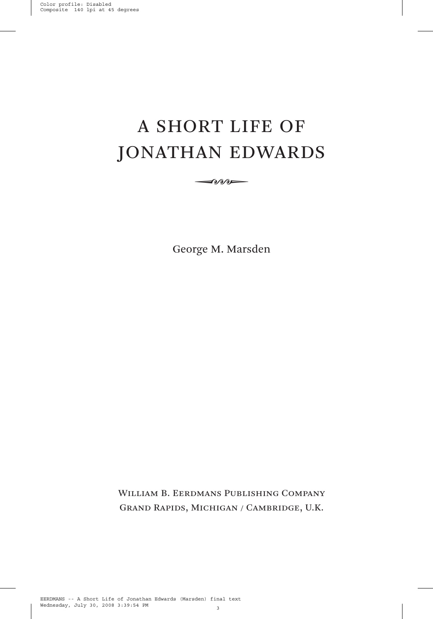# A SHORT LIFE OF JONATHAN EDWARDS

 $\rightarrow$   $\rightarrow$ 

George M. Marsden

William B. Eerdmans Publishing Company Grand Rapids, Michigan / Cambridge, U.K.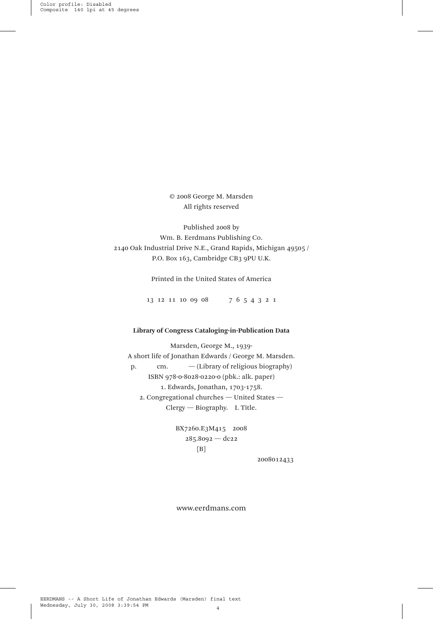© 2008 George M. Marsden All rights reserved

Published 2008 by Wm. B. Eerdmans Publishing Co. 2140 Oak Industrial Drive N.E., Grand Rapids, Michigan 49505 / P.O. Box 163, Cambridge CB3 9PU U.K.

Printed in the United States of America

13 12 11 10 09 08 7 6 5 4 3 2 1

#### **Library of Congress Cataloging-in-Publication Data**

Marsden, George M., 1939- A short life of Jonathan Edwards / George M. Marsden. p. cm. — (Library of religious biography) ISBN 978-0-8028-0220-0 (pbk.: alk. paper) 1. Edwards, Jonathan, 1703-1758. 2. Congregational churches — United States — Clergy — Biography. I. Title.

> BX7260.E3M415 2008 285.8092 — dc22  $[B]$

> > 2008012433

www.eerdmans.com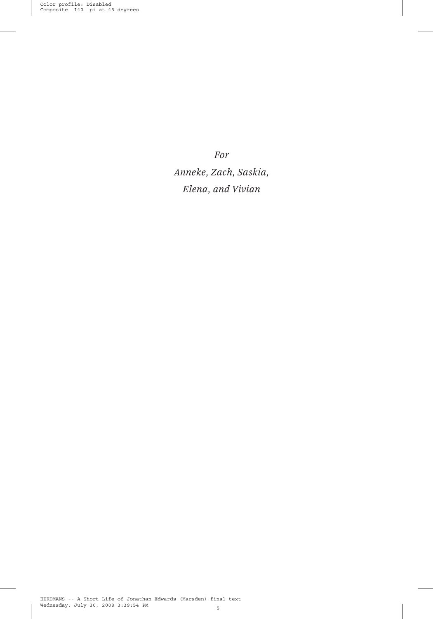*For Anneke, Zach, Saskia, Elena, and Vivian*

 $\overline{\phantom{a}}$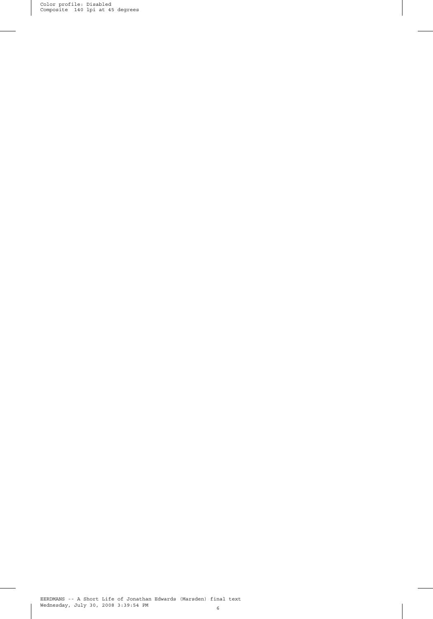I

 $\mathbf{I}$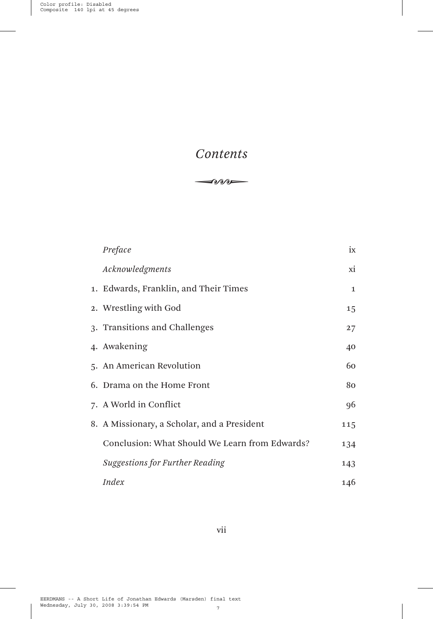# *Contents*

 $\overline{\phantom{a}}$ 

 $\longrightarrow$ 

| Preface                                        | ix           |
|------------------------------------------------|--------------|
| Acknowledgments                                | xi           |
| 1. Edwards, Franklin, and Their Times          | $\mathbf{1}$ |
| 2. Wrestling with God                          | 15           |
| 3. Transitions and Challenges                  | 27           |
| 4. Awakening                                   | 40           |
| 5. An American Revolution                      | 60           |
| 6. Drama on the Home Front                     | 80           |
| 7. A World in Conflict                         | 96           |
| 8. A Missionary, a Scholar, and a President    | 115          |
| Conclusion: What Should We Learn from Edwards? | 134          |
| <b>Suggestions for Further Reading</b>         | 143          |
| <i>Index</i>                                   | 146          |

vii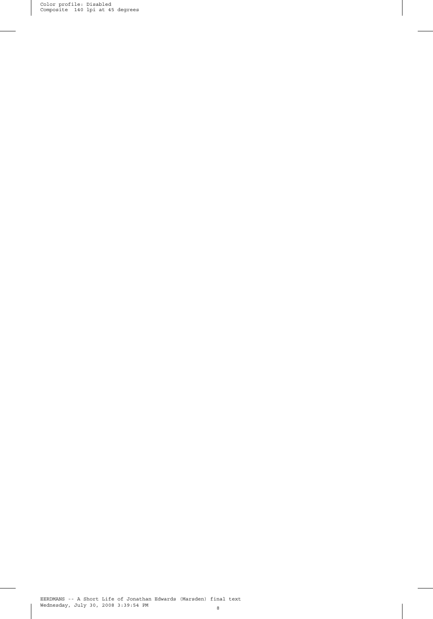I

 $\mathbf{I}$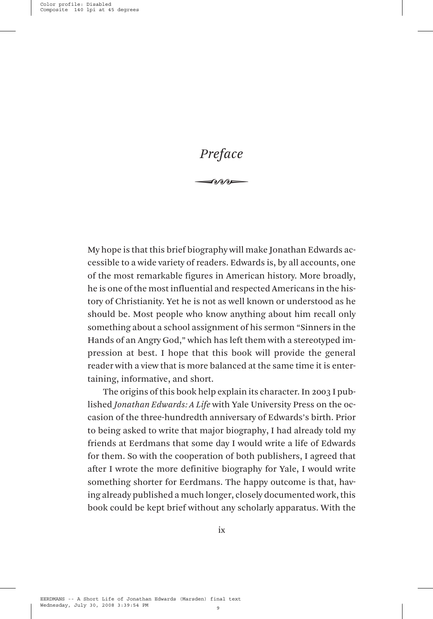# *Preface*

 $\rightarrow$ 

My hope is that this brief biography will make Jonathan Edwards accessible to a wide variety of readers. Edwards is, by all accounts, one of the most remarkable figures in American history. More broadly, he is one of the most influential and respected Americans in the history of Christianity. Yet he is not as well known or understood as he should be. Most people who know anything about him recall only something about a school assignment of his sermon "Sinners in the Hands of an Angry God," which has left them with a stereotyped impression at best. I hope that this book will provide the general reader with a view that is more balanced at the same time it is entertaining, informative, and short.

The origins of this book help explain its character. In 2003 I published *Jonathan Edwards: A Life* with Yale University Press on the occasion of the three-hundredth anniversary of Edwards's birth. Prior to being asked to write that major biography, I had already told my friends at Eerdmans that some day I would write a life of Edwards for them. So with the cooperation of both publishers, I agreed that after I wrote the more definitive biography for Yale, I would write something shorter for Eerdmans. The happy outcome is that, having already published a much longer, closely documented work, this book could be kept brief without any scholarly apparatus. With the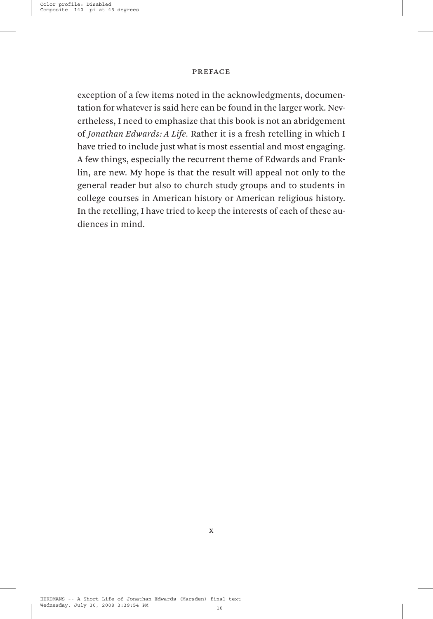#### **PREFACE**

exception of a few items noted in the acknowledgments, documentation for whatever is said here can be found in the larger work. Nevertheless, I need to emphasize that this book is not an abridgement of *Jonathan Edwards: A Life.* Rather it is a fresh retelling in which I have tried to include just what is most essential and most engaging. A few things, especially the recurrent theme of Edwards and Franklin, are new. My hope is that the result will appeal not only to the general reader but also to church study groups and to students in college courses in American history or American religious history. In the retelling, I have tried to keep the interests of each of these audiences in mind.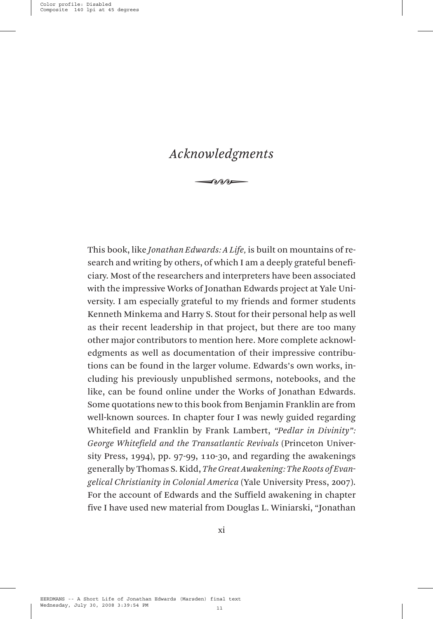# *Acknowledgments*

 $\blacktriangleleft$  O/O p  $=$ 

This book, like *Jonathan Edwards: A Life,* is built on mountains of research and writing by others, of which I am a deeply grateful beneficiary. Most of the researchers and interpreters have been associated with the impressive Works of Jonathan Edwards project at Yale University. I am especially grateful to my friends and former students Kenneth Minkema and Harry S. Stout for their personal help as well as their recent leadership in that project, but there are too many other major contributors to mention here. More complete acknowledgments as well as documentation of their impressive contributions can be found in the larger volume. Edwards's own works, including his previously unpublished sermons, notebooks, and the like, can be found online under the Works of Jonathan Edwards. Some quotations new to this book from Benjamin Franklin are from well-known sources. In chapter four I was newly guided regarding Whitefield and Franklin by Frank Lambert, *"Pedlar in Divinity": George Whitefield and the Transatlantic Revivals* (Princeton University Press, 1994), pp. 97-99, 110-30, and regarding the awakenings generally by Thomas S. Kidd, *The Great Awakening: The Roots of Evangelical Christianity in Colonial America* (Yale University Press, 2007). For the account of Edwards and the Suffield awakening in chapter five I have used new material from Douglas L. Winiarski, "Jonathan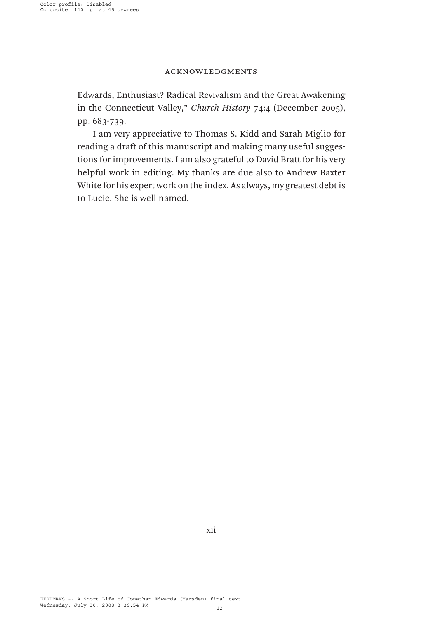#### acknowledgments

Edwards, Enthusiast? Radical Revivalism and the Great Awakening in the Connecticut Valley," *Church History* 74:4 (December 2005), pp. 683-739.

I am very appreciative to Thomas S. Kidd and Sarah Miglio for reading a draft of this manuscript and making many useful suggestions for improvements. I am also grateful to David Bratt for his very helpful work in editing. My thanks are due also to Andrew Baxter White for his expert work on the index. As always, my greatest debt is to Lucie. She is well named.

xii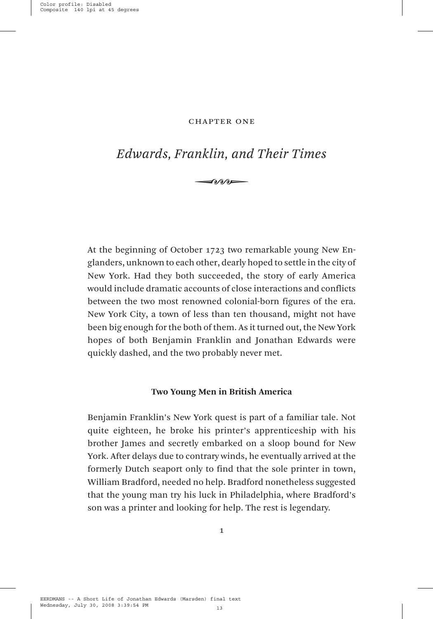### chapter one

## *Edwards, Franklin, and Their Times*

 $\rightarrow$   $\rightarrow$ 

At the beginning of October 1723 two remarkable young New Englanders, unknown to each other, dearly hoped to settle in the city of New York. Had they both succeeded, the story of early America would include dramatic accounts of close interactions and conflicts between the two most renowned colonial-born figures of the era. New York City, a town of less than ten thousand, might not have been big enough for the both of them. As it turned out, the New York hopes of both Benjamin Franklin and Jonathan Edwards were quickly dashed, and the two probably never met.

### **Two Young Men in British America**

Benjamin Franklin's New York quest is part of a familiar tale. Not quite eighteen, he broke his printer's apprenticeship with his brother James and secretly embarked on a sloop bound for New York. After delays due to contrary winds, he eventually arrived at the formerly Dutch seaport only to find that the sole printer in town, William Bradford, needed no help. Bradford nonetheless suggested that the young man try his luck in Philadelphia, where Bradford's son was a printer and looking for help. The rest is legendary.

1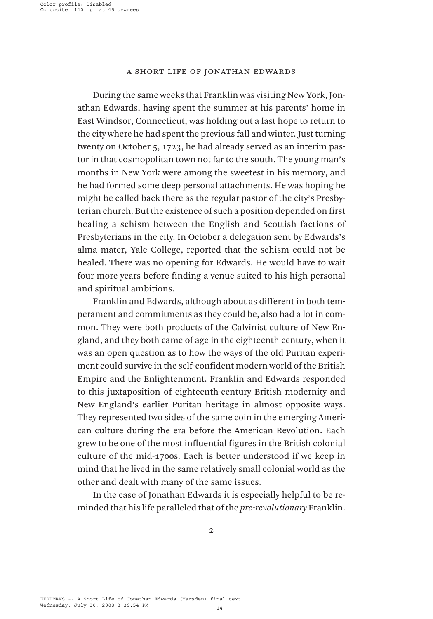### a short life of jonathan edwards

During the same weeks that Franklin was visiting New York, Jonathan Edwards, having spent the summer at his parents' home in East Windsor, Connecticut, was holding out a last hope to return to the city where he had spent the previous fall and winter. Just turning twenty on October 5, 1723, he had already served as an interim pastor in that cosmopolitan town not far to the south. The young man's months in New York were among the sweetest in his memory, and he had formed some deep personal attachments. He was hoping he might be called back there as the regular pastor of the city's Presbyterian church. But the existence of such a position depended on first healing a schism between the English and Scottish factions of Presbyterians in the city. In October a delegation sent by Edwards's alma mater, Yale College, reported that the schism could not be healed. There was no opening for Edwards. He would have to wait four more years before finding a venue suited to his high personal and spiritual ambitions.

Franklin and Edwards, although about as different in both temperament and commitments as they could be, also had a lot in common. They were both products of the Calvinist culture of New England, and they both came of age in the eighteenth century, when it was an open question as to how the ways of the old Puritan experiment could survive in the self-confident modern world of the British Empire and the Enlightenment. Franklin and Edwards responded to this juxtaposition of eighteenth-century British modernity and New England's earlier Puritan heritage in almost opposite ways. They represented two sides of the same coin in the emerging American culture during the era before the American Revolution. Each grew to be one of the most influential figures in the British colonial culture of the mid-1700s. Each is better understood if we keep in mind that he lived in the same relatively small colonial world as the other and dealt with many of the same issues.

In the case of Jonathan Edwards it is especially helpful to be reminded that his life paralleled that of the *pre-revolutionary* Franklin.